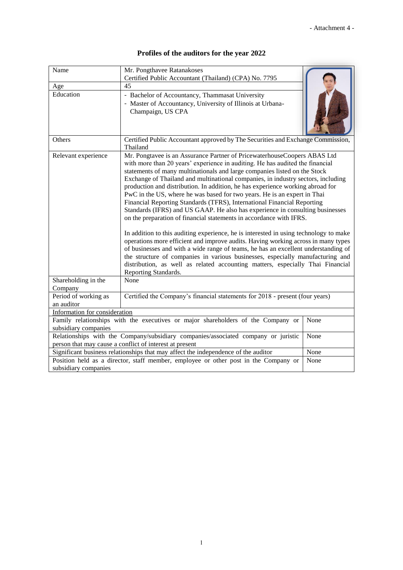| Profiles of the auditors for the year 2022 |  |  |  |  |  |  |
|--------------------------------------------|--|--|--|--|--|--|
|--------------------------------------------|--|--|--|--|--|--|

| Name                                                                                                                                          | Mr. Pongthavee Ratanakoses                                                                                                                                                                                                                                                                                                                                                                                                                                                                                                                                                                                                                                                                                                                                                                                                                                                                                                                                                                                                                                                                                                                                                                  |      |  |  |  |
|-----------------------------------------------------------------------------------------------------------------------------------------------|---------------------------------------------------------------------------------------------------------------------------------------------------------------------------------------------------------------------------------------------------------------------------------------------------------------------------------------------------------------------------------------------------------------------------------------------------------------------------------------------------------------------------------------------------------------------------------------------------------------------------------------------------------------------------------------------------------------------------------------------------------------------------------------------------------------------------------------------------------------------------------------------------------------------------------------------------------------------------------------------------------------------------------------------------------------------------------------------------------------------------------------------------------------------------------------------|------|--|--|--|
|                                                                                                                                               | Certified Public Accountant (Thailand) (CPA) No. 7795                                                                                                                                                                                                                                                                                                                                                                                                                                                                                                                                                                                                                                                                                                                                                                                                                                                                                                                                                                                                                                                                                                                                       |      |  |  |  |
| Age                                                                                                                                           | 45                                                                                                                                                                                                                                                                                                                                                                                                                                                                                                                                                                                                                                                                                                                                                                                                                                                                                                                                                                                                                                                                                                                                                                                          |      |  |  |  |
| Education                                                                                                                                     | - Bachelor of Accountancy, Thammasat University<br>- Master of Accountancy, University of Illinois at Urbana-<br>Champaign, US CPA                                                                                                                                                                                                                                                                                                                                                                                                                                                                                                                                                                                                                                                                                                                                                                                                                                                                                                                                                                                                                                                          |      |  |  |  |
| Others                                                                                                                                        | Certified Public Accountant approved by The Securities and Exchange Commission,<br>Thailand                                                                                                                                                                                                                                                                                                                                                                                                                                                                                                                                                                                                                                                                                                                                                                                                                                                                                                                                                                                                                                                                                                 |      |  |  |  |
| Relevant experience                                                                                                                           | Mr. Pongtavee is an Assurance Partner of PricewaterhouseCoopers ABAS Ltd<br>with more than 20 years' experience in auditing. He has audited the financial<br>statements of many multinationals and large companies listed on the Stock<br>Exchange of Thailand and multinational companies, in industry sectors, including<br>production and distribution. In addition, he has experience working abroad for<br>PwC in the US, where he was based for two years. He is an expert in Thai<br>Financial Reporting Standards (TFRS), International Financial Reporting<br>Standards (IFRS) and US GAAP. He also has experience in consulting businesses<br>on the preparation of financial statements in accordance with IFRS.<br>In addition to this auditing experience, he is interested in using technology to make<br>operations more efficient and improve audits. Having working across in many types<br>of businesses and with a wide range of teams, he has an excellent understanding of<br>the structure of companies in various businesses, especially manufacturing and<br>distribution, as well as related accounting matters, especially Thai Financial<br>Reporting Standards. |      |  |  |  |
| Shareholding in the                                                                                                                           | None                                                                                                                                                                                                                                                                                                                                                                                                                                                                                                                                                                                                                                                                                                                                                                                                                                                                                                                                                                                                                                                                                                                                                                                        |      |  |  |  |
| Company                                                                                                                                       |                                                                                                                                                                                                                                                                                                                                                                                                                                                                                                                                                                                                                                                                                                                                                                                                                                                                                                                                                                                                                                                                                                                                                                                             |      |  |  |  |
| Period of working as                                                                                                                          | Certified the Company's financial statements for 2018 - present (four years)                                                                                                                                                                                                                                                                                                                                                                                                                                                                                                                                                                                                                                                                                                                                                                                                                                                                                                                                                                                                                                                                                                                |      |  |  |  |
| an auditor                                                                                                                                    |                                                                                                                                                                                                                                                                                                                                                                                                                                                                                                                                                                                                                                                                                                                                                                                                                                                                                                                                                                                                                                                                                                                                                                                             |      |  |  |  |
| Information for consideration                                                                                                                 |                                                                                                                                                                                                                                                                                                                                                                                                                                                                                                                                                                                                                                                                                                                                                                                                                                                                                                                                                                                                                                                                                                                                                                                             |      |  |  |  |
|                                                                                                                                               | Family relationships with the executives or major shareholders of the Company or                                                                                                                                                                                                                                                                                                                                                                                                                                                                                                                                                                                                                                                                                                                                                                                                                                                                                                                                                                                                                                                                                                            | None |  |  |  |
| subsidiary companies                                                                                                                          |                                                                                                                                                                                                                                                                                                                                                                                                                                                                                                                                                                                                                                                                                                                                                                                                                                                                                                                                                                                                                                                                                                                                                                                             |      |  |  |  |
| Relationships with the Company/subsidiary companies/associated company or juristic<br>person that may cause a conflict of interest at present | None                                                                                                                                                                                                                                                                                                                                                                                                                                                                                                                                                                                                                                                                                                                                                                                                                                                                                                                                                                                                                                                                                                                                                                                        |      |  |  |  |
| Significant business relationships that may affect the independence of the auditor                                                            | None                                                                                                                                                                                                                                                                                                                                                                                                                                                                                                                                                                                                                                                                                                                                                                                                                                                                                                                                                                                                                                                                                                                                                                                        |      |  |  |  |
| Position held as a director, staff member, employee or other post in the Company or<br>subsidiary companies                                   | None                                                                                                                                                                                                                                                                                                                                                                                                                                                                                                                                                                                                                                                                                                                                                                                                                                                                                                                                                                                                                                                                                                                                                                                        |      |  |  |  |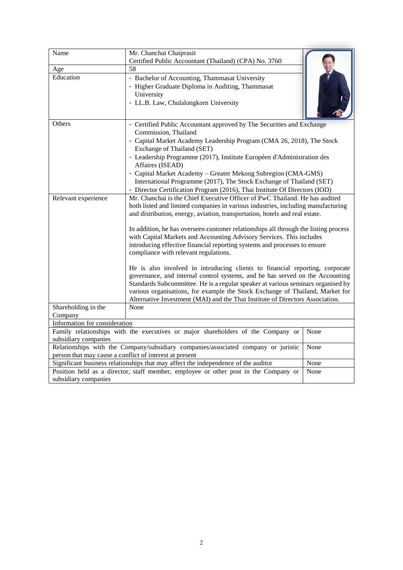| Name                                                                                        | Mr. Chanchai Chaiprasit                                                                                                                                       |      |  |  |  |
|---------------------------------------------------------------------------------------------|---------------------------------------------------------------------------------------------------------------------------------------------------------------|------|--|--|--|
|                                                                                             | Certified Public Accountant (Thailand) (CPA) No. 3760<br>58                                                                                                   |      |  |  |  |
| Age<br>Education                                                                            |                                                                                                                                                               |      |  |  |  |
|                                                                                             | - Bachelor of Accounting, Thammasat University                                                                                                                |      |  |  |  |
|                                                                                             | - Higher Graduate Diploma in Auditing, Thammasat                                                                                                              |      |  |  |  |
|                                                                                             | University                                                                                                                                                    |      |  |  |  |
|                                                                                             | - LL.B. Law, Chulalongkorn University                                                                                                                         |      |  |  |  |
|                                                                                             |                                                                                                                                                               |      |  |  |  |
| Others                                                                                      | - Certified Public Accountant approved by The Securities and Exchange                                                                                         |      |  |  |  |
|                                                                                             | Commission, Thailand                                                                                                                                          |      |  |  |  |
|                                                                                             | - Capital Market Academy Leadership Program (CMA 26, 2018), The Stock                                                                                         |      |  |  |  |
|                                                                                             | Exchange of Thailand (SET)                                                                                                                                    |      |  |  |  |
|                                                                                             | - Leadership Programme (2017), Institute Européen d'Administration des                                                                                        |      |  |  |  |
|                                                                                             | Affaires (ISEAD)                                                                                                                                              |      |  |  |  |
|                                                                                             | - Capital Market Academy - Greater Mekong Subregion (CMA-GMS)                                                                                                 |      |  |  |  |
|                                                                                             | International Programme (2017), The Stock Exchange of Thailand (SET)                                                                                          |      |  |  |  |
|                                                                                             | - Director Certification Program (2016), Thai Institute Of Directors (IOD)                                                                                    |      |  |  |  |
| Relevant experience                                                                         | Mr. Chanchai is the Chief Executive Officer of PwC Thailand. He has audited                                                                                   |      |  |  |  |
|                                                                                             | both listed and limited companies in various industries, including manufacturing                                                                              |      |  |  |  |
|                                                                                             | and distribution, energy, aviation, transportation, hotels and real estate.                                                                                   |      |  |  |  |
|                                                                                             |                                                                                                                                                               |      |  |  |  |
|                                                                                             | In addition, he has overseen customer relationships all through the listing process                                                                           |      |  |  |  |
|                                                                                             | with Capital Markets and Accounting Advisory Services. This includes                                                                                          |      |  |  |  |
|                                                                                             | introducing effective financial reporting systems and processes to ensure                                                                                     |      |  |  |  |
|                                                                                             | compliance with relevant regulations.                                                                                                                         |      |  |  |  |
|                                                                                             |                                                                                                                                                               |      |  |  |  |
|                                                                                             | He is also involved in introducing clients to financial reporting, corporate<br>governance, and internal control systems, and he has served on the Accounting |      |  |  |  |
|                                                                                             | Standards Subcommittee. He is a regular speaker at various seminars organised by                                                                              |      |  |  |  |
|                                                                                             | various organisations, for example the Stock Exchange of Thailand, Market for                                                                                 |      |  |  |  |
|                                                                                             | Alternative Investment (MAI) and the Thai Institute of Directors Association.                                                                                 |      |  |  |  |
| Shareholding in the                                                                         | None                                                                                                                                                          |      |  |  |  |
| Company                                                                                     |                                                                                                                                                               |      |  |  |  |
| Information for consideration                                                               |                                                                                                                                                               |      |  |  |  |
|                                                                                             | Family relationships with the executives or major shareholders of the Company or                                                                              | None |  |  |  |
| subsidiary companies                                                                        |                                                                                                                                                               |      |  |  |  |
| Relationships with the Company/subsidiary companies/associated company or juristic<br>None  |                                                                                                                                                               |      |  |  |  |
| person that may cause a conflict of interest at present                                     |                                                                                                                                                               |      |  |  |  |
| Significant business relationships that may affect the independence of the auditor<br>None  |                                                                                                                                                               |      |  |  |  |
| Position held as a director, staff member, employee or other post in the Company or<br>None |                                                                                                                                                               |      |  |  |  |
| subsidiary companies                                                                        |                                                                                                                                                               |      |  |  |  |